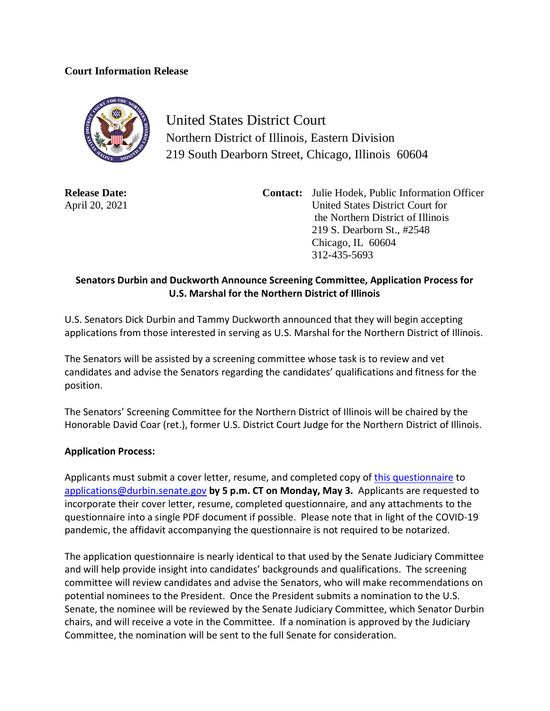## **Court Information Release**



United States District Court Northern District of Illinois, Eastern Division 219 South Dearborn Street, Chicago, Illinois 60604

**Release Date:** April 20, 2021 **Contact:** Julie Hodek, Public Information Officer United States District Court for the Northern District of Illinois 219 S. Dearborn St., #2548 Chicago, IL 60604 312-435-5693

## **Senators Durbin and Duckworth Announce Screening Committee, Application Process for U.S. Marshal for the Northern District of Illinois**

U.S. Senators Dick Durbin and Tammy Duckworth announced that they will begin accepting applications from those interested in serving as U.S. Marshal for the Northern District of Illinois.

The Senators will be assisted by a screening committee whose task is to review and vet candidates and advise the Senators regarding the candidates' qualifications and fitness for the position.

The Senators' Screening Committee for the Northern District of Illinois will be chaired by the Honorable David Coar (ret.), former U.S. District Court Judge for the Northern District of Illinois.

## **Application Process:**

Applicants must submit a cover letter, resume, and completed copy of [this questionnaire](https://www.durbin.senate.gov/imo/media/doc/Questionnaire%20for%20US%20Marshal%20Applicants.pdf) to [applications@durbin.senate.gov](mailto:applications@durbin.senate.gov) **by 5 p.m. CT on Monday, May 3.** Applicants are requested to incorporate their cover letter, resume, completed questionnaire, and any attachments to the questionnaire into a single PDF document if possible. Please note that in light of the COVID-19 pandemic, the affidavit accompanying the questionnaire is not required to be notarized.

The application questionnaire is nearly identical to that used by the Senate Judiciary Committee and will help provide insight into candidates' backgrounds and qualifications. The screening committee will review candidates and advise the Senators, who will make recommendations on potential nominees to the President. Once the President submits a nomination to the U.S. Senate, the nominee will be reviewed by the Senate Judiciary Committee, which Senator Durbin chairs, and will receive a vote in the Committee. If a nomination is approved by the Judiciary Committee, the nomination will be sent to the full Senate for consideration.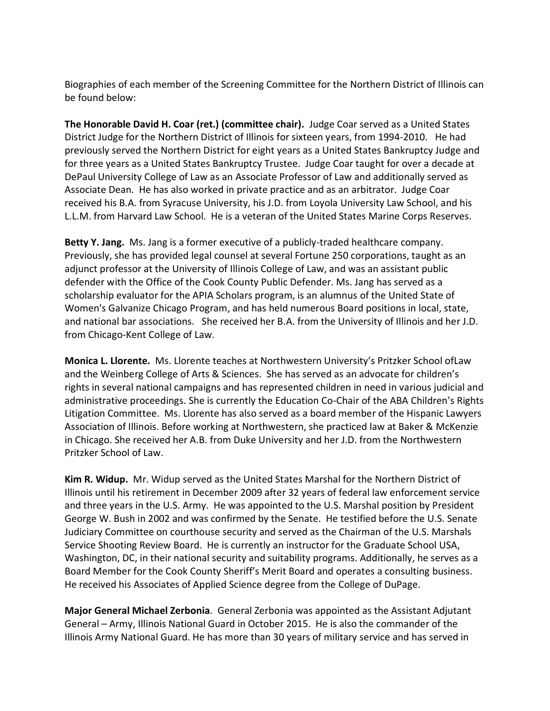Biographies of each member of the Screening Committee for the Northern District of Illinois can be found below:

**The Honorable David H. Coar (ret.) (committee chair).** Judge Coar served as a United States District Judge for the Northern District of Illinois for sixteen years, from 1994-2010. He had previously served the Northern District for eight years as a United States Bankruptcy Judge and for three years as a United States Bankruptcy Trustee. Judge Coar taught for over a decade at DePaul University College of Law as an Associate Professor of Law and additionally served as Associate Dean. He has also worked in private practice and as an arbitrator. Judge Coar received his B.A. from Syracuse University, his J.D. from Loyola University Law School, and his L.L.M. from Harvard Law School. He is a veteran of the United States Marine Corps Reserves.

Betty Y. Jang. Ms. Jang is a former executive of a publicly-traded healthcare company. Previously, she has provided legal counsel at several Fortune 250 corporations, taught as an adjunct professor at the University of Illinois College of Law, and was an assistant public defender with the Office of the Cook County Public Defender. Ms. Jang has served as a scholarship evaluator for the APIA Scholars program, is an alumnus of the United State of Women's Galvanize Chicago Program, and has held numerous Board positions in local, state, and national bar associations. She received her B.A. from the University of Illinois and her J.D. from Chicago-Kent College of Law.

**Monica L. Llorente.** Ms. Llorente teaches at Northwestern University's Pritzker School ofLaw and the Weinberg College of Arts & Sciences. She has served as an advocate for children's rights in several national campaigns and has represented children in need in various judicial and administrative proceedings. She is currently the Education Co-Chair of the ABA Children's Rights Litigation Committee. Ms. Llorente has also served as a board member of the Hispanic Lawyers Association of Illinois. Before working at Northwestern, she practiced law at Baker & McKenzie in Chicago. She received her A.B. from Duke University and her J.D. from the Northwestern Pritzker School of Law.

**Kim R. Widup.** Mr. Widup served as the United States Marshal for the Northern District of Illinois until his retirement in December 2009 after 32 years of federal law enforcement service and three years in the U.S. Army. He was appointed to the U.S. Marshal position by President George W. Bush in 2002 and was confirmed by the Senate. He testified before the U.S. Senate Judiciary Committee on courthouse security and served as the Chairman of the U.S. Marshals Service Shooting Review Board. He is currently an instructor for the Graduate School USA, Washington, DC, in their national security and suitability programs. Additionally, he serves as a Board Member for the Cook County Sheriff's Merit Board and operates a consulting business. He received his Associates of Applied Science degree from the College of DuPage.

**Major General Michael Zerbonia**. General Zerbonia was appointed as the Assistant Adjutant General – Army, Illinois National Guard in October 2015. He is also the commander of the Illinois Army National Guard. He has more than 30 years of military service and has served in